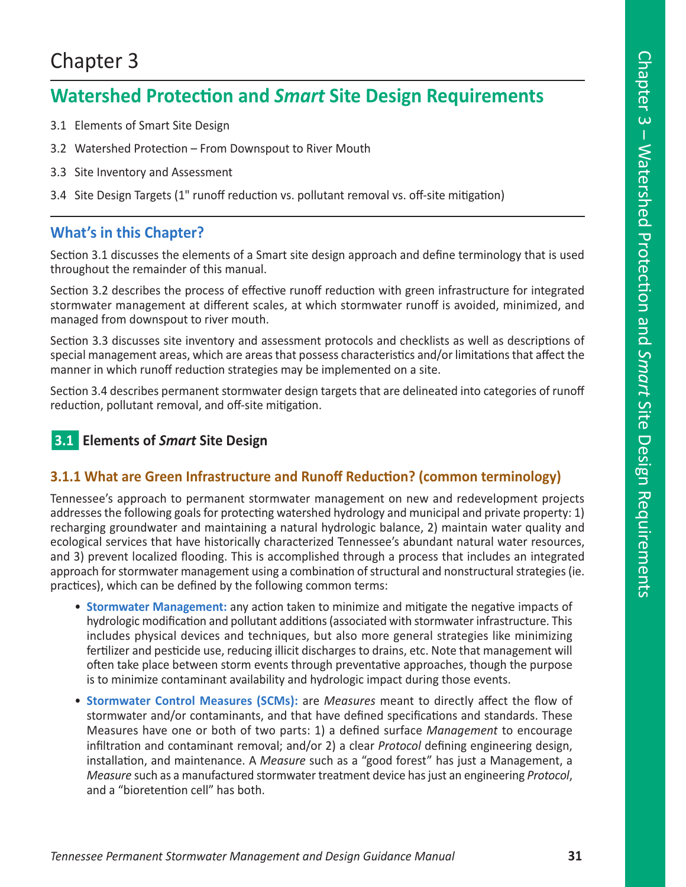# Chapter 3

# **Watershed Protection and** *Smart* **Site Design Requirements**

- 3.1 Elements of Smart Site Design
- 3.2 Watershed Protection From Downspout to River Mouth
- 3.3 Site Inventory and Assessment
- 3.4 Site Design Targets (1" runoff reduction vs. pollutant removal vs. off-site mitigation)

# **What's in this Chapter?**

Section 3.1 discusses the elements of a Smart site design approach and define terminology that is used throughout the remainder of this manual.

Section 3.2 describes the process of effective runoff reduction with green infrastructure for integrated stormwater management at different scales, at which stormwater runoff is avoided, minimized, and managed from downspout to river mouth.

Section 3.3 discusses site inventory and assessment protocols and checklists as well as descriptions of special management areas, which are areas that possess characteristics and/or limitations that affect the manner in which runoff reduction strategies may be implemented on a site.

Section 3.4 describes permanent stormwater design targets that are delineated into categories of runoff reduction, pollutant removal, and off-site mitigation.

# n**3.1 Elements of** *Smart* **Site Design**

# **3.1.1 What are Green Infrastructure and Runoff Reduction? (common terminology)**

Tennessee's approach to permanent stormwater management on new and redevelopment projects addresses the following goals for protecting watershed hydrology and municipal and private property: 1) recharging groundwater and maintaining a natural hydrologic balance, 2) maintain water quality and ecological services that have historically characterized Tennessee's abundant natural water resources, and 3) prevent localized flooding. This is accomplished through a process that includes an integrated approach for stormwater management using a combination of structural and nonstructural strategies (ie. practices), which can be defined by the following common terms:

- **Stormwater Management:** any action taken to minimize and mitigate the negative impacts of hydrologic modification and pollutant additions (associated with stormwater infrastructure. This includes physical devices and techniques, but also more general strategies like minimizing fertilizer and pesticide use, reducing illicit discharges to drains, etc. Note that management will often take place between storm events through preventative approaches, though the purpose is to minimize contaminant availability and hydrologic impact during those events.
- **Stormwater Control Measures (SCMs):** are *Measures* meant to directly affect the flow of stormwater and/or contaminants, and that have defined specifications and standards. These Measures have one or both of two parts: 1) a defined surface *Management* to encourage infiltration and contaminant removal; and/or 2) a clear *Protocol* defining engineering design, installation, and maintenance. A *Measure* such as a "good forest" has just a Management, a *Measure* such as a manufactured stormwater treatment device has just an engineering *Protocol*, and a "bioretention cell" has both.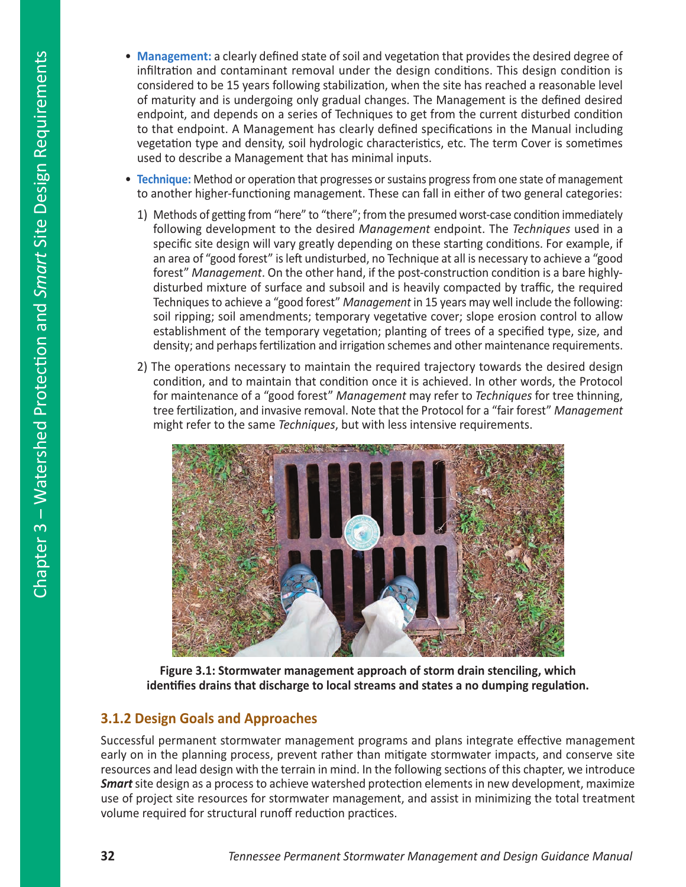- **Management:** a clearly defined state of soil and vegetation that provides the desired degree of infiltration and contaminant removal under the design conditions. This design condition is considered to be 15 years following stabilization, when the site has reached a reasonable level of maturity and is undergoing only gradual changes. The Management is the defined desired endpoint, and depends on a series of Techniques to get from the current disturbed condition to that endpoint. A Management has clearly defined specifications in the Manual including vegetation type and density, soil hydrologic characteristics, etc. The term Cover is sometimes used to describe a Management that has minimal inputs.
- **Technique:** Method or operation that progresses or sustains progress from one state of management to another higher-functioning management. These can fall in either of two general categories:
	- 1) Methods of getting from "here" to "there"; from the presumed worst-case condition immediately following development to the desired *Management* endpoint. The *Techniques* used in a specific site design will vary greatly depending on these starting conditions. For example, if an area of "good forest" is left undisturbed, no Technique at all is necessary to achieve a "good forest" *Management*. On the other hand, if the post-construction condition is a bare highlydisturbed mixture of surface and subsoil and is heavily compacted by traffic, the required Techniques to achieve a "good forest" *Management* in 15 years may well include the following: soil ripping; soil amendments; temporary vegetative cover; slope erosion control to allow establishment of the temporary vegetation; planting of trees of a specified type, size, and density; and perhaps fertilization and irrigation schemes and other maintenance requirements.
	- 2) The operations necessary to maintain the required trajectory towards the desired design condition, and to maintain that condition once it is achieved. In other words, the Protocol for maintenance of a "good forest" *Management* may refer to *Techniques* for tree thinning, tree fertilization, and invasive removal. Note that the Protocol for a "fair forest" *Management* might refer to the same *Techniques*, but with less intensive requirements.



**Figure 3.1: Stormwater management approach of storm drain stenciling, which identifies drains that discharge to local streams and states a no dumping regulation.**

# **3.1.2 Design Goals and Approaches**

Successful permanent stormwater management programs and plans integrate effective management early on in the planning process, prevent rather than mitigate stormwater impacts, and conserve site resources and lead design with the terrain in mind. In the following sections of this chapter, we introduce *Smart*site design as a process to achieve watershed protection elements in new development, maximize use of project site resources for stormwater management, and assist in minimizing the total treatment volume required for structural runoff reduction practices.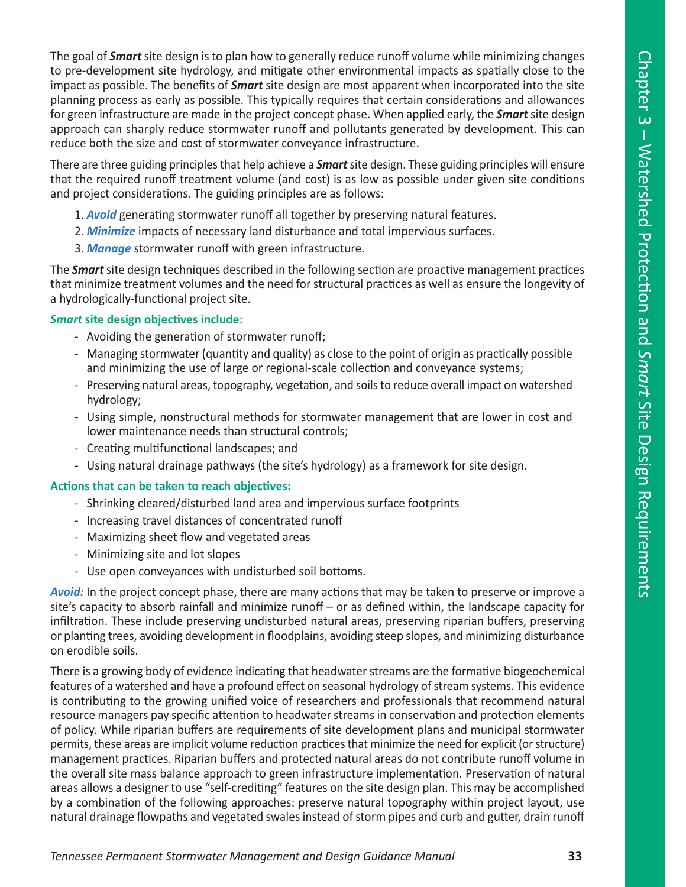The goal of *Smart* site design is to plan how to generally reduce runoff volume while minimizing changes to pre-development site hydrology, and mitigate other environmental impacts as spatially close to the impact as possible. The benefits of *Smart* site design are most apparent when incorporated into the site planning process as early as possible. This typically requires that certain considerations and allowances for green infrastructure are made in the project concept phase. When applied early, the *Smart*site design approach can sharply reduce stormwater runoff and pollutants generated by development. This can reduce both the size and cost of stormwater conveyance infrastructure.

There are three guiding principles that help achieve a *Smart*site design. These guiding principles will ensure that the required runoff treatment volume (and cost) is as low as possible under given site conditions and project considerations. The guiding principles are as follows:

- 1. *Avoid* generating stormwater runoff all together by preserving natural features.
- 2. *Minimize* impacts of necessary land disturbance and total impervious surfaces.
- 3. *Manage* stormwater runoff with green infrastructure.

The *Smart*site design techniques described in the following section are proactive management practices that minimize treatment volumes and the need for structural practices as well as ensure the longevity of a hydrologically-functional project site.

#### *Smart* **site design objectives include:**

- Avoiding the generation of stormwater runoff;
- Managing stormwater (quantity and quality) as close to the point of origin as practically possible and minimizing the use of large or regional-scale collection and conveyance systems;
- Preserving natural areas, topography, vegetation, and soils to reduce overall impact on watershed hydrology;
- Using simple, nonstructural methods for stormwater management that are lower in cost and lower maintenance needs than structural controls;
- Creating multifunctional landscapes; and
- Using natural drainage pathways (the site's hydrology) as a framework for site design.

#### **Actions that can be taken to reach objectives:**

- Shrinking cleared/disturbed land area and impervious surface footprints
- Increasing travel distances of concentrated runoff
- Maximizing sheet flow and vegetated areas
- Minimizing site and lot slopes
- Use open conveyances with undisturbed soil bottoms.

*Avoid:* In the project concept phase, there are many actions that may be taken to preserve or improve a site's capacity to absorb rainfall and minimize runoff – or as defined within, the landscape capacity for infiltration. These include preserving undisturbed natural areas, preserving riparian buffers, preserving or planting trees, avoiding development in floodplains, avoiding steep slopes, and minimizing disturbance on erodible soils.

There is a growing body of evidence indicating that headwater streams are the formative biogeochemical features of a watershed and have a profound effect on seasonal hydrology of stream systems. This evidence is contributing to the growing unified voice of researchers and professionals that recommend natural resource managers pay specific attention to headwater streams in conservation and protection elements of policy. While riparian buffers are requirements of site development plans and municipal stormwater permits, these areas are implicit volume reduction practices that minimize the need for explicit (or structure) management practices. Riparian buffers and protected natural areas do not contribute runoff volume in the overall site mass balance approach to green infrastructure implementation. Preservation of natural areas allows a designer to use "self-crediting" features on the site design plan. This may be accomplished by a combination of the following approaches: preserve natural topography within project layout, use natural drainage flowpaths and vegetated swales instead of storm pipes and curb and gutter, drain runoff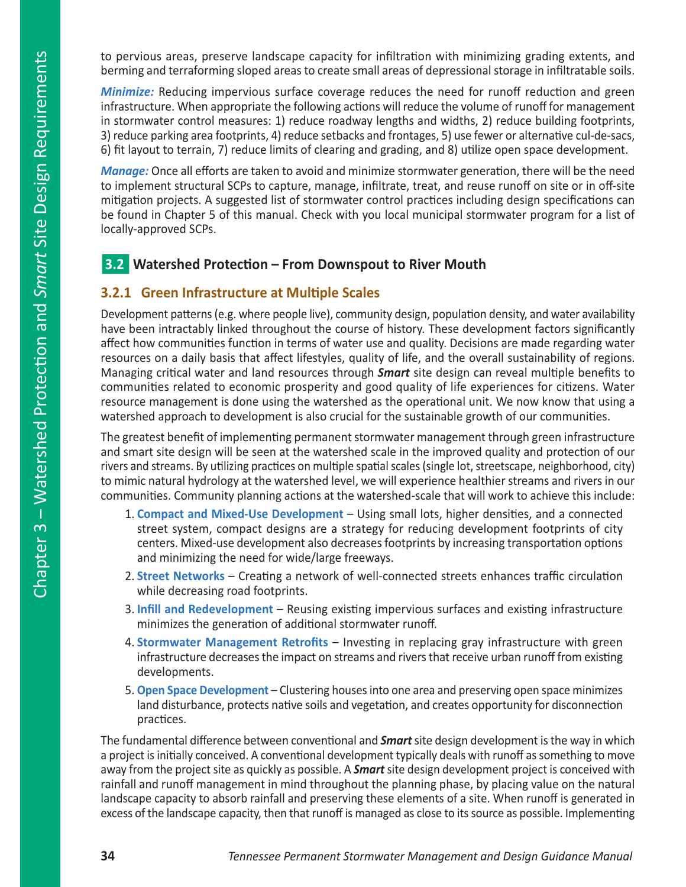to pervious areas, preserve landscape capacity for infiltration with minimizing grading extents, and berming and terraforming sloped areas to create small areas of depressional storage in infiltratable soils.

*Minimize:* Reducing impervious surface coverage reduces the need for runoff reduction and green infrastructure. When appropriate the following actions will reduce the volume of runoff for management in stormwater control measures: 1) reduce roadway lengths and widths, 2) reduce building footprints, 3) reduce parking area footprints, 4) reduce setbacks and frontages, 5) use fewer or alternative cul-de-sacs, 6) fit layout to terrain, 7) reduce limits of clearing and grading, and 8) utilize open space development.

*Manage:* Once all efforts are taken to avoid and minimize stormwater generation, there will be the need to implement structural SCPs to capture, manage, infiltrate, treat, and reuse runoff on site or in off-site mitigation projects. A suggested list of stormwater control practices including design specifications can be found in Chapter 5 of this manual. Check with you local municipal stormwater program for a list of locally-approved SCPs.

# n**3.2 Watershed Protection – From Downspout to River Mouth**

## **3.2.1 Green Infrastructure at Multiple Scales**

Development patterns (e.g. where people live), community design, population density, and water availability have been intractably linked throughout the course of history. These development factors significantly affect how communities function in terms of water use and quality. Decisions are made regarding water resources on a daily basis that affect lifestyles, quality of life, and the overall sustainability of regions. Managing critical water and land resources through *Smart* site design can reveal multiple benefits to communities related to economic prosperity and good quality of life experiences for citizens. Water resource management is done using the watershed as the operational unit. We now know that using a watershed approach to development is also crucial for the sustainable growth of our communities.

The greatest benefit of implementing permanent stormwater management through green infrastructure and smart site design will be seen at the watershed scale in the improved quality and protection of our rivers and streams. By utilizing practices on multiple spatial scales (single lot, streetscape, neighborhood, city) to mimic natural hydrology at the watershed level, we will experience healthier streams and rivers in our communities. Community planning actions at the watershed-scale that will work to achieve this include:

- 1. **Compact and Mixed-Use Development**  Using small lots, higher densities, and a connected street system, compact designs are a strategy for reducing development footprints of city centers. Mixed-use development also decreases footprints by increasing transportation options and minimizing the need for wide/large freeways.
- 2. **Street Networks** Creating a network of well-connected streets enhances traffic circulation while decreasing road footprints.
- 3. **Infill and Redevelopment**  Reusing existing impervious surfaces and existing infrastructure minimizes the generation of additional stormwater runoff.
- 4. **Stormwater Management Retrofits** Investing in replacing gray infrastructure with green infrastructure decreases the impact on streams and rivers that receive urban runoff from existing developments.
- 5. **Open Space Development**  Clustering houses into one area and preserving open space minimizes land disturbance, protects native soils and vegetation, and creates opportunity for disconnection practices.

The fundamental difference between conventional and *Smart*site design development is the way in which a project is initially conceived. A conventional development typically deals with runoff as something to move away from the project site as quickly as possible. A *Smart* site design development project is conceived with rainfall and runoff management in mind throughout the planning phase, by placing value on the natural landscape capacity to absorb rainfall and preserving these elements of a site. When runoff is generated in excess of the landscape capacity, then that runoff is managed as close to its source as possible. Implementing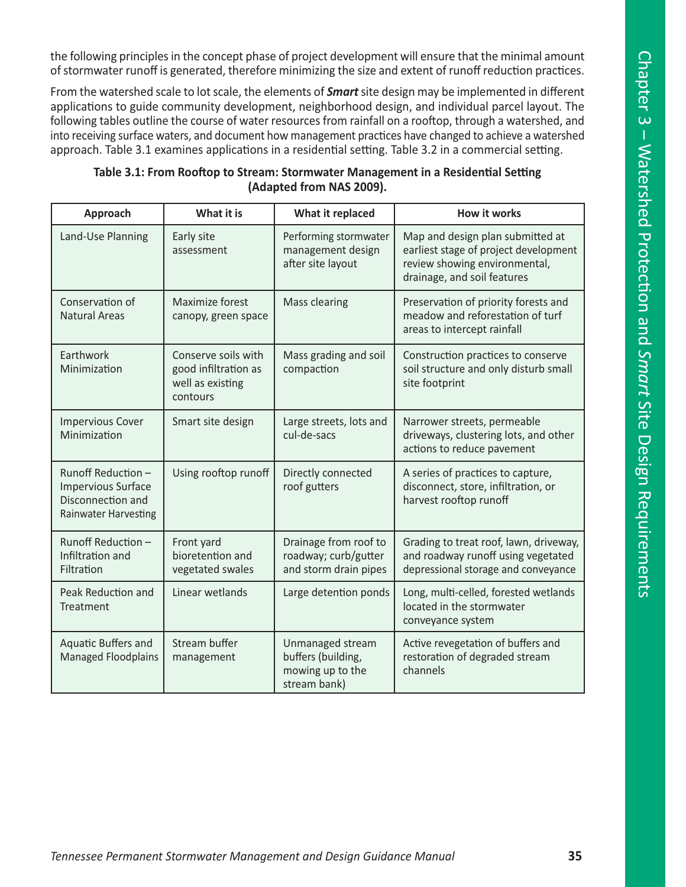the following principles in the concept phase of project development will ensure that the minimal amount of stormwater runoff is generated, therefore minimizing the size and extent of runoff reduction practices.

From the watershed scale to lot scale, the elements of *Smart*site design may be implemented in different applications to guide community development, neighborhood design, and individual parcel layout. The following tables outline the course of water resources from rainfall on a rooftop, through a watershed, and into receiving surface waters, and document how management practices have changed to achieve a watershed approach. Table 3.1 examines applications in a residential setting. Table 3.2 in a commercial setting.

| Approach                                                                                            | What it is                                                                  | What it replaced                                                           | <b>How it works</b>                                                                                                                       |
|-----------------------------------------------------------------------------------------------------|-----------------------------------------------------------------------------|----------------------------------------------------------------------------|-------------------------------------------------------------------------------------------------------------------------------------------|
| Land-Use Planning                                                                                   | Early site<br>assessment                                                    | Performing stormwater<br>management design<br>after site layout            | Map and design plan submitted at<br>earliest stage of project development<br>review showing environmental,<br>drainage, and soil features |
| Conservation of<br><b>Natural Areas</b>                                                             | Maximize forest<br>canopy, green space                                      | Mass clearing                                                              | Preservation of priority forests and<br>meadow and reforestation of turf<br>areas to intercept rainfall                                   |
| Earthwork<br>Minimization                                                                           | Conserve soils with<br>good infiltration as<br>well as existing<br>contours | Mass grading and soil<br>compaction                                        | Construction practices to conserve<br>soil structure and only disturb small<br>site footprint                                             |
| <b>Impervious Cover</b><br>Minimization                                                             | Smart site design                                                           | Large streets, lots and<br>cul-de-sacs                                     | Narrower streets, permeable<br>driveways, clustering lots, and other<br>actions to reduce pavement                                        |
| Runoff Reduction -<br><b>Impervious Surface</b><br>Disconnection and<br><b>Rainwater Harvesting</b> | Using rooftop runoff                                                        | Directly connected<br>roof gutters                                         | A series of practices to capture,<br>disconnect, store, infiltration, or<br>harvest rooftop runoff                                        |
| Runoff Reduction -<br>Infiltration and<br>Filtration                                                | Front yard<br>bioretention and<br>vegetated swales                          | Drainage from roof to<br>roadway; curb/gutter<br>and storm drain pipes     | Grading to treat roof, lawn, driveway,<br>and roadway runoff using vegetated<br>depressional storage and conveyance                       |
| Peak Reduction and<br>Treatment                                                                     | Linear wetlands                                                             | Large detention ponds                                                      | Long, multi-celled, forested wetlands<br>located in the stormwater<br>conveyance system                                                   |
| Aquatic Buffers and<br><b>Managed Floodplains</b>                                                   | Stream buffer<br>management                                                 | Unmanaged stream<br>buffers (building,<br>mowing up to the<br>stream bank) | Active revegetation of buffers and<br>restoration of degraded stream<br>channels                                                          |

## **Table 3.1: From Rooftop to Stream: Stormwater Management in a Residential Setting (Adapted from NAS 2009).**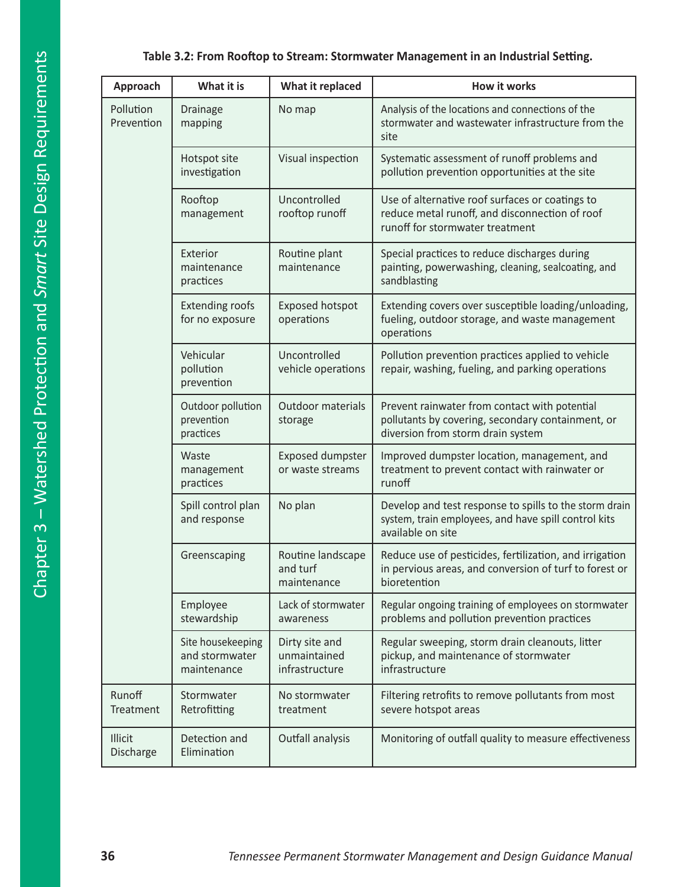### **Table 3.2: From Rooftop to Stream: Stormwater Management in an Industrial Setting.**

| Approach                                                                         | What it is                                         | What it replaced                                 | <b>How it works</b>                                                                                                                     |
|----------------------------------------------------------------------------------|----------------------------------------------------|--------------------------------------------------|-----------------------------------------------------------------------------------------------------------------------------------------|
| Pollution<br>Prevention                                                          | <b>Drainage</b><br>mapping                         | No map                                           | Analysis of the locations and connections of the<br>stormwater and wastewater infrastructure from the<br>site                           |
|                                                                                  | Hotspot site<br>investigation                      | Visual inspection                                | Systematic assessment of runoff problems and<br>pollution prevention opportunities at the site                                          |
| Rooftop<br>management                                                            |                                                    | Uncontrolled<br>rooftop runoff                   | Use of alternative roof surfaces or coatings to<br>reduce metal runoff, and disconnection of roof<br>runoff for stormwater treatment    |
|                                                                                  | Exterior<br>maintenance<br>practices               | Routine plant<br>maintenance                     | Special practices to reduce discharges during<br>painting, powerwashing, cleaning, sealcoating, and<br>sandblasting                     |
|                                                                                  | <b>Extending roofs</b><br>for no exposure          | <b>Exposed hotspot</b><br>operations             | Extending covers over susceptible loading/unloading,<br>fueling, outdoor storage, and waste management<br>operations                    |
| Vehicular<br>pollution<br>prevention                                             |                                                    | Uncontrolled<br>vehicle operations               | Pollution prevention practices applied to vehicle<br>repair, washing, fueling, and parking operations                                   |
| Outdoor pollution<br>prevention<br>practices<br>Waste<br>management<br>practices |                                                    | Outdoor materials<br>storage                     | Prevent rainwater from contact with potential<br>pollutants by covering, secondary containment, or<br>diversion from storm drain system |
|                                                                                  |                                                    | <b>Exposed dumpster</b><br>or waste streams      | Improved dumpster location, management, and<br>treatment to prevent contact with rainwater or<br>runoff                                 |
|                                                                                  | Spill control plan<br>and response                 | No plan                                          | Develop and test response to spills to the storm drain<br>system, train employees, and have spill control kits<br>available on site     |
|                                                                                  | Greenscaping                                       | Routine landscape<br>and turf<br>maintenance     | Reduce use of pesticides, fertilization, and irrigation<br>in pervious areas, and conversion of turf to forest or<br>bioretention       |
|                                                                                  | Employee<br>stewardship                            | Lack of stormwater<br>awareness                  | Regular ongoing training of employees on stormwater<br>problems and pollution prevention practices                                      |
|                                                                                  | Site housekeeping<br>and stormwater<br>maintenance | Dirty site and<br>unmaintained<br>infrastructure | Regular sweeping, storm drain cleanouts, litter<br>pickup, and maintenance of stormwater<br>infrastructure                              |
| Runoff<br>Treatment                                                              | Stormwater<br>Retrofitting                         | No stormwater<br>treatment                       | Filtering retrofits to remove pollutants from most<br>severe hotspot areas                                                              |
| <b>Illicit</b><br>Discharge                                                      | Detection and<br>Elimination                       | Outfall analysis                                 | Monitoring of outfall quality to measure effectiveness                                                                                  |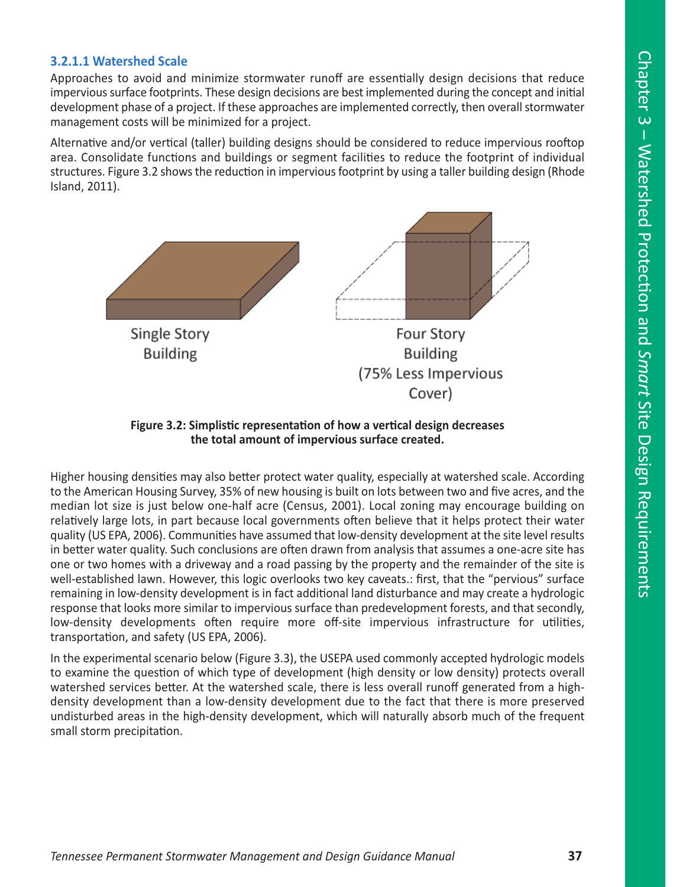#### **3.2.1.1 Watershed Scale**

Approaches to avoid and minimize stormwater runoff are essentially design decisions that reduce impervious surface footprints. These design decisions are best implemented during the concept and initial development phase of a project. If these approaches are implemented correctly, then overall stormwater management costs will be minimized for a project.

Alternative and/or vertical (taller) building designs should be considered to reduce impervious rooftop area. Consolidate functions and buildings or segment facilities to reduce the footprint of individual structures. Figure 3.2 shows the reduction in impervious footprint by using a taller building design (Rhode Island, 2011).



**Figure 3.2: Simplistic representation of how a vertical design decreases the total amount of impervious surface created.** 

Higher housing densities may also better protect water quality, especially at watershed scale. According to the American Housing Survey, 35% of new housing is built on lots between two and five acres, and the median lot size is just below one-half acre (Census, 2001). Local zoning may encourage building on relatively large lots, in part because local governments often believe that it helps protect their water quality (US EPA, 2006). Communities have assumed that low-density development at the site level results in better water quality. Such conclusions are often drawn from analysis that assumes a one-acre site has one or two homes with a driveway and a road passing by the property and the remainder of the site is well-established lawn. However, this logic overlooks two key caveats.: first, that the "pervious" surface remaining in low-density development is in fact additional land disturbance and may create a hydrologic response that looks more similar to impervious surface than predevelopment forests, and that secondly, low-density developments often require more off-site impervious infrastructure for utilities, transportation, and safety (US EPA, 2006).

In the experimental scenario below (Figure 3.3), the USEPA used commonly accepted hydrologic models to examine the question of which type of development (high density or low density) protects overall watershed services better. At the watershed scale, there is less overall runoff generated from a highdensity development than a low-density development due to the fact that there is more preserved undisturbed areas in the high-density development, which will naturally absorb much of the frequent small storm precipitation.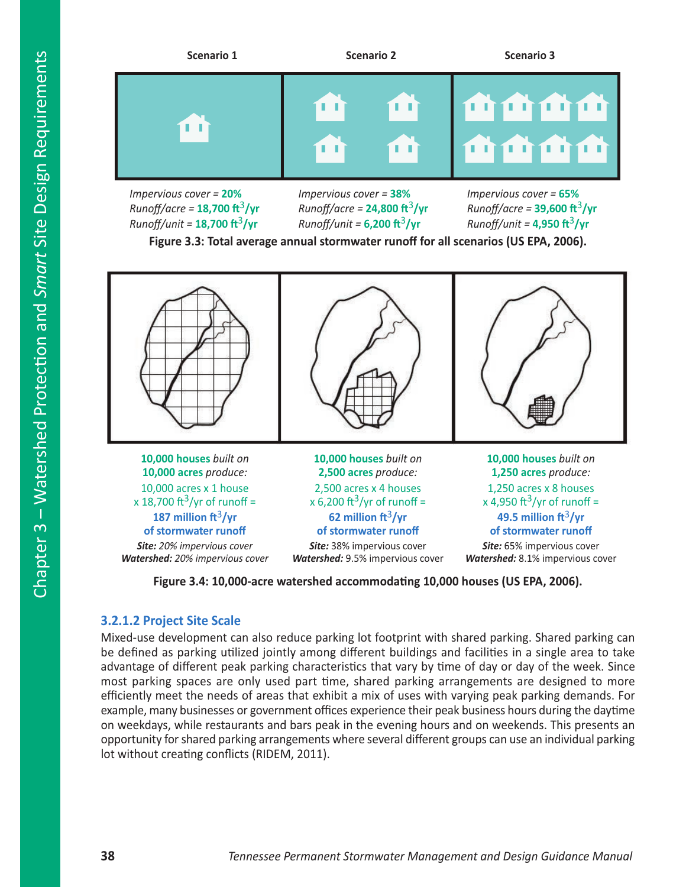

*Impervious cover =* **20%** *Runoff/acre =* **18,700 ft**3**/yr** *Runoff/unit =* **18,700 ft**3**/yr**

*Impervious cover =* **38%** *Runoff/acre =* **24,800 ft**3**/yr** *Runoff/unit =* **6,200 ft**3**/yr**

*Impervious cover =* **65%** *Runoff/acre =* **39,600 ft**3**/yr** *Runoff/unit =* **4,950 ft**3**/yr**

**Figure 3.3: Total average annual stormwater runoff for all scenarios (US EPA, 2006).**



**Figure 3.4: 10,000-acre watershed accommodating 10,000 houses (US EPA, 2006).**

### **3.2.1.2 Project Site Scale**

Mixed-use development can also reduce parking lot footprint with shared parking. Shared parking can be defined as parking utilized jointly among different buildings and facilities in a single area to take advantage of different peak parking characteristics that vary by time of day or day of the week. Since most parking spaces are only used part time, shared parking arrangements are designed to more efficiently meet the needs of areas that exhibit a mix of uses with varying peak parking demands. For example, many businesses or government offices experience their peak business hours during the daytime on weekdays, while restaurants and bars peak in the evening hours and on weekends. This presents an opportunity for shared parking arrangements where several different groups can use an individual parking lot without creating conflicts (RIDEM, 2011).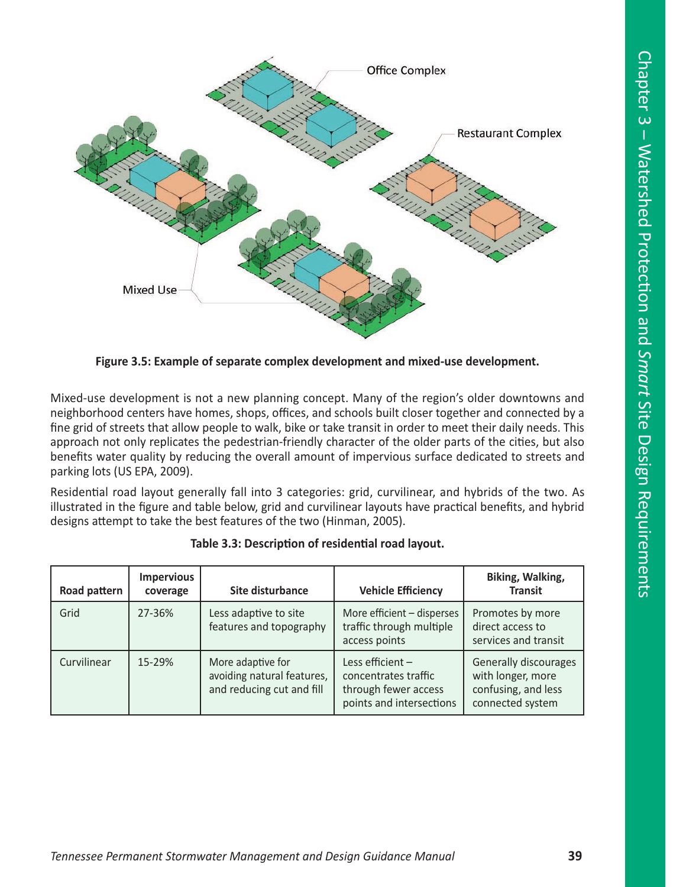

**Figure 3.5: Example of separate complex development and mixed-use development.**

Mixed-use development is not a new planning concept. Many of the region's older downtowns and neighborhood centers have homes, shops, offices, and schools built closer together and connected by a fine grid of streets that allow people to walk, bike or take transit in order to meet their daily needs. This approach not only replicates the pedestrian-friendly character of the older parts of the cities, but also benefits water quality by reducing the overall amount of impervious surface dedicated to streets and parking lots (US EPA, 2009).

Residential road layout generally fall into 3 categories: grid, curvilinear, and hybrids of the two. As illustrated in the figure and table below, grid and curvilinear layouts have practical benefits, and hybrid designs attempt to take the best features of the two (Hinman, 2005).

| Road pattern | <b>Impervious</b><br>coverage | Site disturbance                                                             | <b>Vehicle Efficiency</b>                                                                      | Biking, Walking,<br><b>Transit</b>                                                    |
|--------------|-------------------------------|------------------------------------------------------------------------------|------------------------------------------------------------------------------------------------|---------------------------------------------------------------------------------------|
| Grid         | 27-36%                        | Less adaptive to site<br>features and topography                             | More efficient - disperses<br>traffic through multiple<br>access points                        | Promotes by more<br>direct access to<br>services and transit                          |
| Curvilinear  | 15-29%                        | More adaptive for<br>avoiding natural features,<br>and reducing cut and fill | Less efficient $-$<br>concentrates traffic<br>through fewer access<br>points and intersections | Generally discourages<br>with longer, more<br>confusing, and less<br>connected system |

|  | Table 3.3: Description of residential road layout. |  |
|--|----------------------------------------------------|--|
|  |                                                    |  |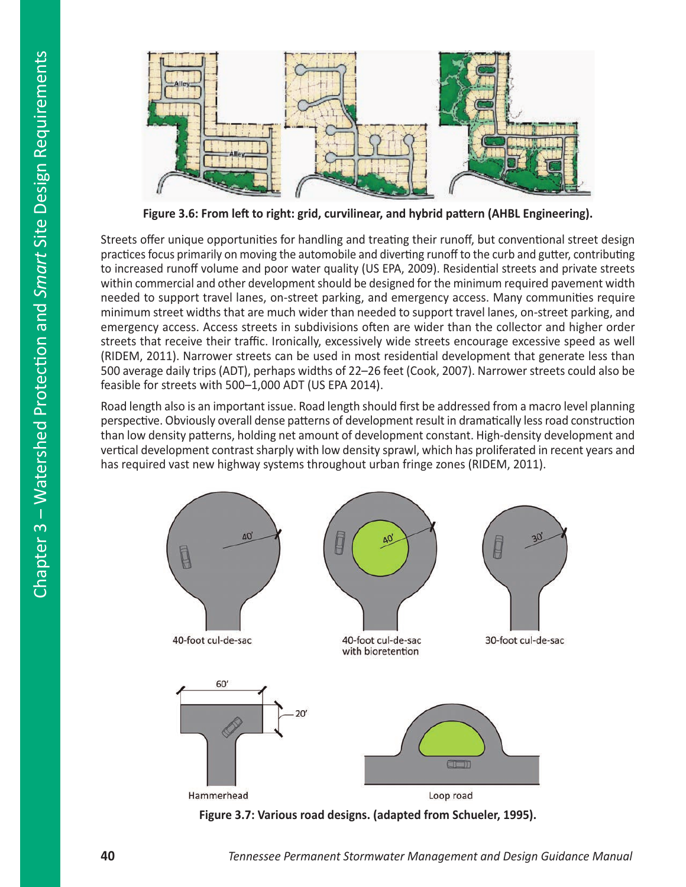

**Figure 3.6: From left to right: grid, curvilinear, and hybrid pattern (AHBL Engineering).** 

Streets offer unique opportunities for handling and treating their runoff, but conventional street design practices focus primarily on moving the automobile and diverting runoff to the curb and gutter, contributing to increased runoff volume and poor water quality (US EPA, 2009). Residential streets and private streets within commercial and other development should be designed for the minimum required pavement width needed to support travel lanes, on-street parking, and emergency access. Many communities require minimum street widths that are much wider than needed to support travel lanes, on-street parking, and emergency access. Access streets in subdivisions often are wider than the collector and higher order streets that receive their traffic. Ironically, excessively wide streets encourage excessive speed as well (RIDEM, 2011). Narrower streets can be used in most residential development that generate less than 500 average daily trips (ADT), perhaps widths of 22–26 feet (Cook, 2007). Narrower streets could also be feasible for streets with 500–1,000 ADT (US EPA 2014).

Road length also is an important issue. Road length should first be addressed from a macro level planning perspective. Obviously overall dense patterns of development result in dramatically less road construction than low density patterns, holding net amount of development constant. High-density development and vertical development contrast sharply with low density sprawl, which has proliferated in recent years and has required vast new highway systems throughout urban fringe zones (RIDEM, 2011).



**Figure 3.7: Various road designs. (adapted from Schueler, 1995).**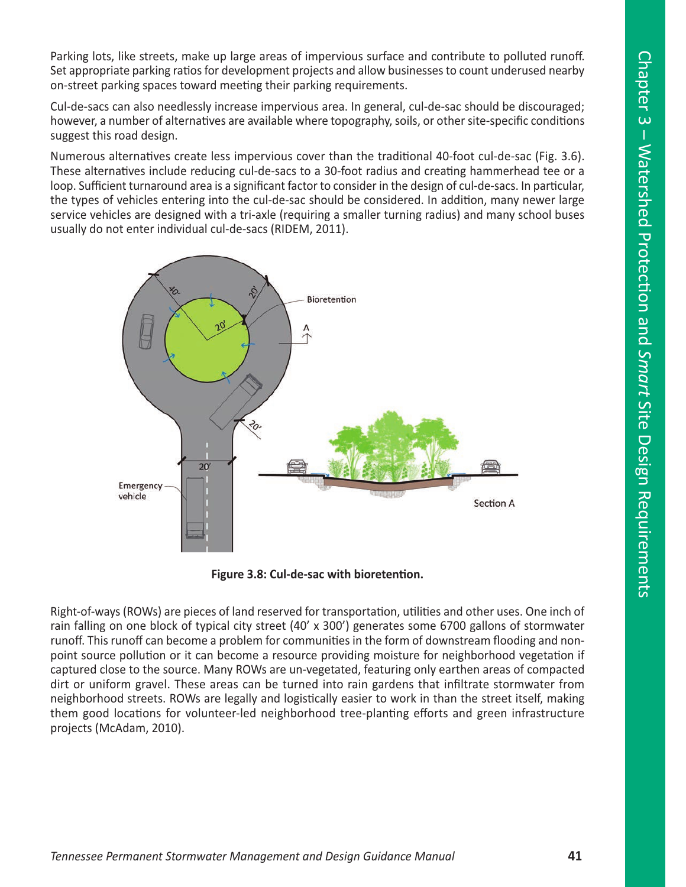Parking lots, like streets, make up large areas of impervious surface and contribute to polluted runoff. Set appropriate parking ratios for development projects and allow businesses to count underused nearby on-street parking spaces toward meeting their parking requirements.

Cul-de-sacs can also needlessly increase impervious area. In general, cul-de-sac should be discouraged; however, a number of alternatives are available where topography, soils, or other site-specific conditions suggest this road design.

Numerous alternatives create less impervious cover than the traditional 40-foot cul-de-sac (Fig. 3.6). These alternatives include reducing cul-de-sacs to a 30-foot radius and creating hammerhead tee or a loop. Sufficient turnaround area is a significant factor to consider in the design of cul-de-sacs. In particular, the types of vehicles entering into the cul-de-sac should be considered. In addition, many newer large service vehicles are designed with a tri-axle (requiring a smaller turning radius) and many school buses usually do not enter individual cul-de-sacs (RIDEM, 2011).



**Figure 3.8: Cul-de-sac with bioretention.**

Right-of-ways (ROWs) are pieces of land reserved for transportation, utilities and other uses. One inch of rain falling on one block of typical city street (40' x 300') generates some 6700 gallons of stormwater runoff. This runoff can become a problem for communities in the form of downstream flooding and nonpoint source pollution or it can become a resource providing moisture for neighborhood vegetation if captured close to the source. Many ROWs are un-vegetated, featuring only earthen areas of compacted dirt or uniform gravel. These areas can be turned into rain gardens that infiltrate stormwater from neighborhood streets. ROWs are legally and logistically easier to work in than the street itself, making them good locations for volunteer-led neighborhood tree-planting efforts and green infrastructure projects (McAdam, 2010).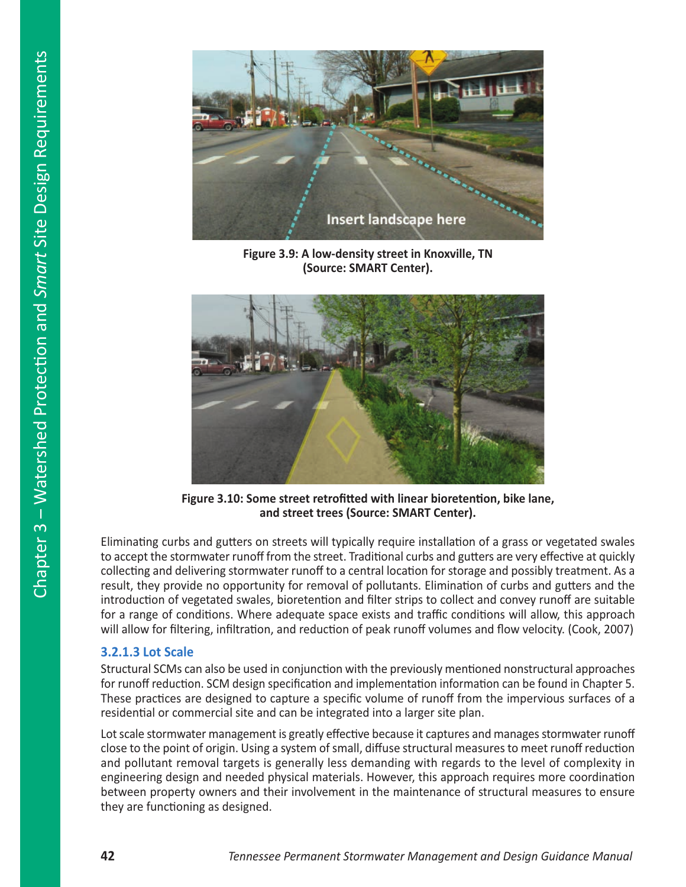

**Figure 3.9: A low-density street in Knoxville, TN (Source: SMART Center).**



**Figure 3.10: Some street retrofitted with linear bioretention, bike lane, and street trees (Source: SMART Center).**

Eliminating curbs and gutters on streets will typically require installation of a grass or vegetated swales to accept the stormwater runoff from the street. Traditional curbs and gutters are very effective at quickly collecting and delivering stormwater runoff to a central location for storage and possibly treatment. As a result, they provide no opportunity for removal of pollutants. Elimination of curbs and gutters and the introduction of vegetated swales, bioretention and filter strips to collect and convey runoff are suitable for a range of conditions. Where adequate space exists and traffic conditions will allow, this approach will allow for filtering, infiltration, and reduction of peak runoff volumes and flow velocity. (Cook, 2007)

#### **3.2.1.3 Lot Scale**

Structural SCMs can also be used in conjunction with the previously mentioned nonstructural approaches for runoff reduction. SCM design specification and implementation information can be found in Chapter 5. These practices are designed to capture a specific volume of runoff from the impervious surfaces of a residential or commercial site and can be integrated into a larger site plan.

Lot scale stormwater management is greatly effective because it captures and manages stormwater runoff close to the point of origin. Using a system of small, diffuse structural measures to meet runoff reduction and pollutant removal targets is generally less demanding with regards to the level of complexity in engineering design and needed physical materials. However, this approach requires more coordination between property owners and their involvement in the maintenance of structural measures to ensure they are functioning as designed.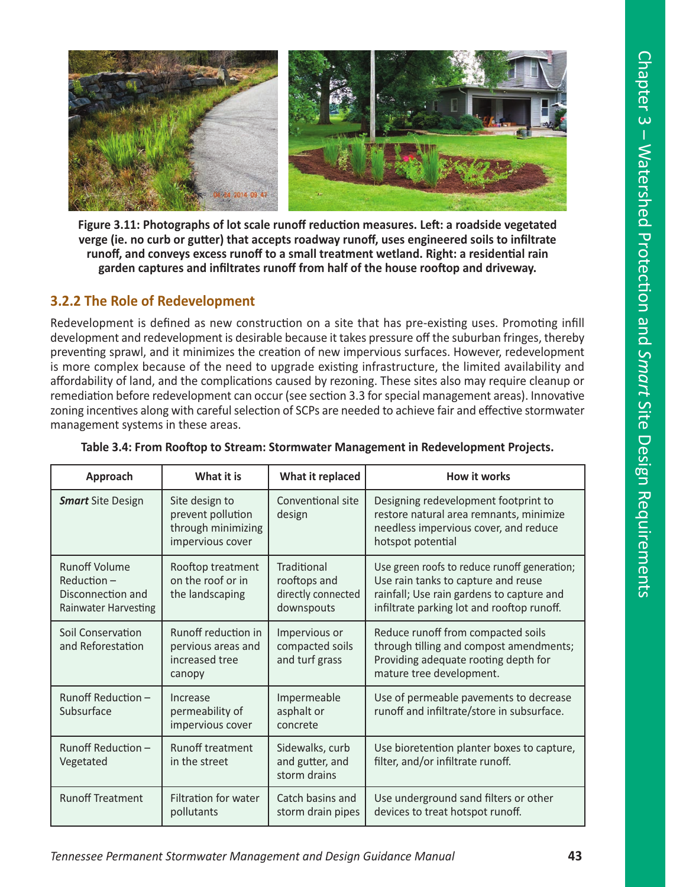

**Figure 3.11: Photographs of lot scale runoff reduction measures. Left: a roadside vegetated verge (ie. no curb or gutter) that accepts roadway runoff, uses engineered soils to infiltrate runoff, and conveys excess runoff to a small treatment wetland. Right: a residential rain garden captures and infiltrates runoff from half of the house rooftop and driveway.** 

# **3.2.2 The Role of Redevelopment**

Redevelopment is defined as new construction on a site that has pre-existing uses. Promoting infill development and redevelopment is desirable because it takes pressure off the suburban fringes, thereby preventing sprawl, and it minimizes the creation of new impervious surfaces. However, redevelopment is more complex because of the need to upgrade existing infrastructure, the limited availability and affordability of land, and the complications caused by rezoning. These sites also may require cleanup or remediation before redevelopment can occur (see section 3.3 for special management areas). Innovative zoning incentives along with careful selection of SCPs are needed to achieve fair and effective stormwater management systems in these areas.

| Approach                                                                                 | What it is                                                                    | What it replaced                                                | How it works                                                                                                                                                                   |
|------------------------------------------------------------------------------------------|-------------------------------------------------------------------------------|-----------------------------------------------------------------|--------------------------------------------------------------------------------------------------------------------------------------------------------------------------------|
| <b>Smart</b> Site Design                                                                 | Site design to<br>prevent pollution<br>through minimizing<br>impervious cover | Conventional site<br>design                                     | Designing redevelopment footprint to<br>restore natural area remnants, minimize<br>needless impervious cover, and reduce<br>hotspot potential                                  |
| <b>Runoff Volume</b><br>$Reduction-$<br>Disconnection and<br><b>Rainwater Harvesting</b> | Rooftop treatment<br>on the roof or in<br>the landscaping                     | Traditional<br>rooftops and<br>directly connected<br>downspouts | Use green roofs to reduce runoff generation;<br>Use rain tanks to capture and reuse<br>rainfall; Use rain gardens to capture and<br>infiltrate parking lot and rooftop runoff. |
| Soil Conservation<br>and Reforestation                                                   | Runoff reduction in<br>pervious areas and<br>increased tree<br>canopy         | Impervious or<br>compacted soils<br>and turf grass              | Reduce runoff from compacted soils<br>through tilling and compost amendments;<br>Providing adequate rooting depth for<br>mature tree development.                              |
| Runoff Reduction -<br>Subsurface                                                         | Increase<br>permeability of<br>impervious cover                               | Impermeable<br>asphalt or<br>concrete                           | Use of permeable pavements to decrease<br>runoff and infiltrate/store in subsurface.                                                                                           |
| Runoff Reduction -<br>Vegetated                                                          | <b>Runoff treatment</b><br>in the street                                      | Sidewalks, curb<br>and gutter, and<br>storm drains              | Use bioretention planter boxes to capture,<br>filter, and/or infiltrate runoff.                                                                                                |
| <b>Runoff Treatment</b>                                                                  | <b>Filtration for water</b><br>pollutants                                     | Catch basins and<br>storm drain pipes                           | Use underground sand filters or other<br>devices to treat hotspot runoff.                                                                                                      |

|  |  | Table 3.4: From Rooftop to Stream: Stormwater Management in Redevelopment Projects. |  |
|--|--|-------------------------------------------------------------------------------------|--|
|--|--|-------------------------------------------------------------------------------------|--|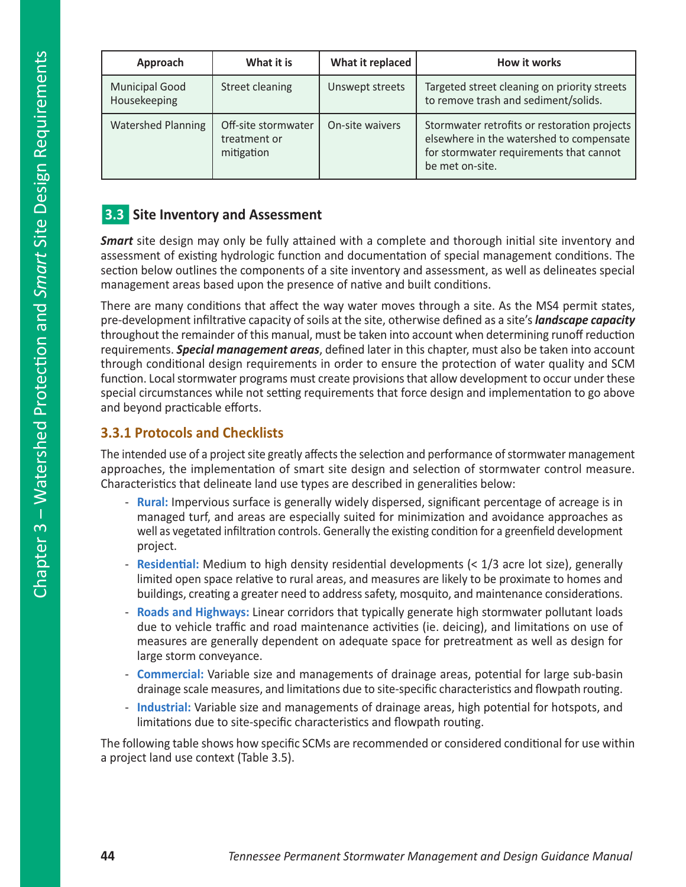| Approach                              | What it is                                        | What it replaced | How it works                                                                                                                                           |
|---------------------------------------|---------------------------------------------------|------------------|--------------------------------------------------------------------------------------------------------------------------------------------------------|
| <b>Municipal Good</b><br>Housekeeping | Street cleaning                                   | Unswept streets  | Targeted street cleaning on priority streets<br>to remove trash and sediment/solids.                                                                   |
| <b>Watershed Planning</b>             | Off-site stormwater<br>treatment or<br>mitigation | On-site waivers  | Stormwater retrofits or restoration projects<br>elsewhere in the watershed to compensate<br>for stormwater requirements that cannot<br>be met on-site. |

# **3.3** Site Inventory and Assessment

*Smart* site design may only be fully attained with a complete and thorough initial site inventory and assessment of existing hydrologic function and documentation of special management conditions. The section below outlines the components of a site inventory and assessment, as well as delineates special management areas based upon the presence of native and built conditions.

There are many conditions that affect the way water moves through a site. As the MS4 permit states, pre-development infiltrative capacity of soils at the site, otherwise defined as a site's *landscape capacity* throughout the remainder of this manual, must be taken into account when determining runoff reduction requirements. *Special management areas*, defined later in this chapter, must also be taken into account through conditional design requirements in order to ensure the protection of water quality and SCM function. Local stormwater programs must create provisions that allow development to occur under these special circumstances while not setting requirements that force design and implementation to go above and beyond practicable efforts.

# **3.3.1 Protocols and Checklists**

The intended use of a project site greatly affects the selection and performance of stormwater management approaches, the implementation of smart site design and selection of stormwater control measure. Characteristics that delineate land use types are described in generalities below:

- **Rural:** Impervious surface is generally widely dispersed, significant percentage of acreage is in managed turf, and areas are especially suited for minimization and avoidance approaches as well as vegetated infiltration controls. Generally the existing condition for a greenfield development project.
- **Residential:** Medium to high density residential developments (< 1/3 acre lot size), generally limited open space relative to rural areas, and measures are likely to be proximate to homes and buildings, creating a greater need to address safety, mosquito, and maintenance considerations.
- **Roads and Highways:** Linear corridors that typically generate high stormwater pollutant loads due to vehicle traffic and road maintenance activities (ie. deicing), and limitations on use of measures are generally dependent on adequate space for pretreatment as well as design for large storm conveyance.
- **Commercial:** Variable size and managements of drainage areas, potential for large sub-basin drainage scale measures, and limitations due to site-specific characteristics and flowpath routing.
- **Industrial:** Variable size and managements of drainage areas, high potential for hotspots, and limitations due to site-specific characteristics and flowpath routing.

The following table shows how specific SCMs are recommended or considered conditional for use within a project land use context (Table 3.5).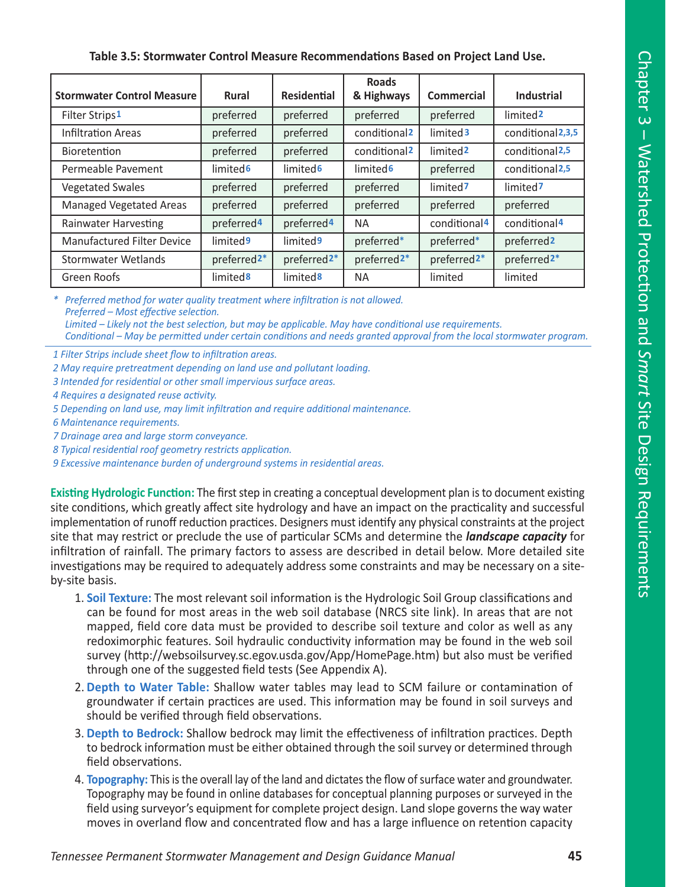## **Table 3.5: Stormwater Control Measure Recommendations Based on Project Land Use.**

| <b>Stormwater Control Measure</b> | <b>Rural</b>             | <b>Residential</b>       | <b>Roads</b><br>& Highways | Commercial               | Industrial                 |
|-----------------------------------|--------------------------|--------------------------|----------------------------|--------------------------|----------------------------|
| Filter Strips1                    | preferred                | preferred                | preferred                  | preferred                | limited <sub>2</sub>       |
| Infiltration Areas                | preferred                | preferred                | conditional <sub>2</sub>   | limited 3                | conditional 2,3,5          |
| Bioretention                      | preferred                | preferred                | conditional <sub>2</sub>   | limited <sub>2</sub>     | conditional <sub>2,5</sub> |
| Permeable Pavement                | limited <sub>6</sub>     | limited <sub>6</sub>     | limited <sub>6</sub>       | preferred                | conditional <sub>2,5</sub> |
| <b>Vegetated Swales</b>           | preferred                | preferred                | preferred                  | limited7                 | limited7                   |
| <b>Managed Vegetated Areas</b>    | preferred                | preferred                | preferred                  | preferred                | preferred                  |
| <b>Rainwater Harvesting</b>       | preferred <sup>4</sup>   | preferred <sup>4</sup>   | <b>NA</b>                  | conditional <sup>4</sup> | conditional <sup>4</sup>   |
| <b>Manufactured Filter Device</b> | limited <sup>9</sup>     | limited <sup>9</sup>     | preferred*                 | preferred*               | preferred <sub>2</sub>     |
| Stormwater Wetlands               | preferred <sub>2</sub> * | preferred <sub>2</sub> * | preferred <sub>2</sub> *   | preferred <sub>2</sub> * | preferred <sub>2</sub> *   |
| Green Roofs                       | limited <sup>8</sup>     | limited <sup>8</sup>     | <b>NA</b>                  | limited                  | limited                    |

*\* Preferred method for water quality treatment where infiltration is not allowed. Preferred – Most effective selection. Limited – Likely not the best selection, but may be applicable. May have conditional use requirements. Conditional – May be permitted under certain conditions and needs granted approval from the local stormwater program.* 

*1 Filter Strips include sheet flow to infiltration areas.*

- *2 May require pretreatment depending on land use and pollutant loading.*
- *3 Intended for residential or other small impervious surface areas.*
- *4 Requires a designated reuse activity.*
- *5 Depending on land use, may limit infiltration and require additional maintenance.*
- *6 Maintenance requirements.*
- *7 Drainage area and large storm conveyance.*
- *8 Typical residential roof geometry restricts application.*

*9 Excessive maintenance burden of underground systems in residential areas.* 

**Existing Hydrologic Function:** The first step in creating a conceptual development plan is to document existing site conditions, which greatly affect site hydrology and have an impact on the practicality and successful implementation of runoff reduction practices. Designers must identify any physical constraints at the project site that may restrict or preclude the use of particular SCMs and determine the *landscape capacity* for infiltration of rainfall. The primary factors to assess are described in detail below. More detailed site investigations may be required to adequately address some constraints and may be necessary on a siteby-site basis.

- 1. **Soil Texture:** The most relevant soil information is the Hydrologic Soil Group classifications and can be found for most areas in the web soil database (NRCS site link). In areas that are not mapped, field core data must be provided to describe soil texture and color as well as any redoximorphic features. Soil hydraulic conductivity information may be found in the web soil survey (http://websoilsurvey.sc.egov.usda.gov/App/HomePage.htm) but also must be verified through one of the suggested field tests (See Appendix A).
- 2. **Depth to Water Table:** Shallow water tables may lead to SCM failure or contamination of groundwater if certain practices are used. This information may be found in soil surveys and should be verified through field observations.
- 3. **Depth to Bedrock:** Shallow bedrock may limit the effectiveness of infiltration practices. Depth to bedrock information must be either obtained through the soil survey or determined through field observations.
- 4. **Topography:** This is the overall lay of the land and dictates the flow of surface water and groundwater. Topography may be found in online databases for conceptual planning purposes or surveyed in the field using surveyor's equipment for complete project design. Land slope governs the way water moves in overland flow and concentrated flow and has a large influence on retention capacity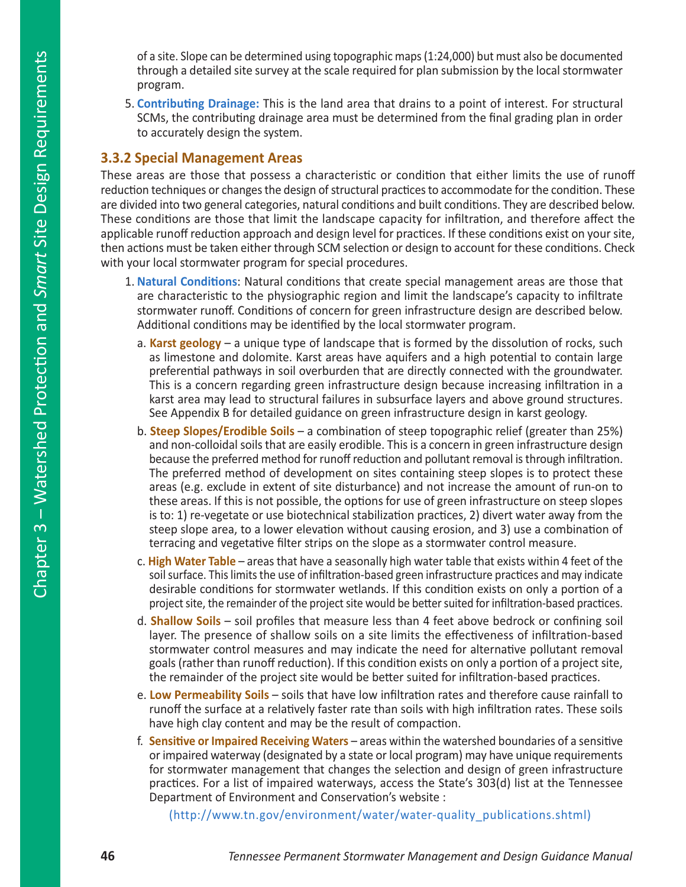of a site. Slope can be determined using topographic maps (1:24,000) but must also be documented through a detailed site survey at the scale required for plan submission by the local stormwater program.

5. **Contributing Drainage:** This is the land area that drains to a point of interest. For structural SCMs, the contributing drainage area must be determined from the final grading plan in order to accurately design the system.

## **3.3.2 Special Management Areas**

These areas are those that possess a characteristic or condition that either limits the use of runoff reduction techniques or changes the design of structural practices to accommodate for the condition. These are divided into two general categories, natural conditions and built conditions. They are described below. These conditions are those that limit the landscape capacity for infiltration, and therefore affect the applicable runoff reduction approach and design level for practices. If these conditions exist on your site, then actions must be taken either through SCM selection or design to account for these conditions. Check with your local stormwater program for special procedures.

- 1. **Natural Conditions**: Natural conditions that create special management areas are those that are characteristic to the physiographic region and limit the landscape's capacity to infiltrate stormwater runoff. Conditions of concern for green infrastructure design are described below. Additional conditions may be identified by the local stormwater program.
	- a. **Karst geology** a unique type of landscape that is formed by the dissolution of rocks, such as limestone and dolomite. Karst areas have aquifers and a high potential to contain large preferential pathways in soil overburden that are directly connected with the groundwater. This is a concern regarding green infrastructure design because increasing infiltration in a karst area may lead to structural failures in subsurface layers and above ground structures. See Appendix B for detailed guidance on green infrastructure design in karst geology.
	- b. **Steep Slopes/Erodible Soils** a combination of steep topographic relief (greater than 25%) and non-colloidal soils that are easily erodible. This is a concern in green infrastructure design because the preferred method for runoff reduction and pollutant removal is through infiltration. The preferred method of development on sites containing steep slopes is to protect these areas (e.g. exclude in extent of site disturbance) and not increase the amount of run-on to these areas. If this is not possible, the options for use of green infrastructure on steep slopes is to: 1) re-vegetate or use biotechnical stabilization practices, 2) divert water away from the steep slope area, to a lower elevation without causing erosion, and 3) use a combination of terracing and vegetative filter strips on the slope as a stormwater control measure.
	- c. **High Water Table**  areas that have a seasonally high water table that exists within 4 feet of the soil surface. This limits the use of infiltration-based green infrastructure practices and may indicate desirable conditions for stormwater wetlands. If this condition exists on only a portion of a project site, the remainder of the project site would be better suited for infiltration-based practices.
	- d. **Shallow Soils** soil profiles that measure less than 4 feet above bedrock or confining soil layer. The presence of shallow soils on a site limits the effectiveness of infiltration-based stormwater control measures and may indicate the need for alternative pollutant removal goals (rather than runoff reduction). If this condition exists on only a portion of a project site, the remainder of the project site would be better suited for infiltration-based practices.
	- e. **Low Permeability Soils** soils that have low infiltration rates and therefore cause rainfall to runoff the surface at a relatively faster rate than soils with high infiltration rates. These soils have high clay content and may be the result of compaction.
	- f. **Sensitive or Impaired Receiving Waters** areas within the watershed boundaries of a sensitive or impaired waterway (designated by a state or local program) may have unique requirements for stormwater management that changes the selection and design of green infrastructure practices. For a list of impaired waterways, access the State's 303(d) list at the Tennessee Department of Environment and Conservation's website :

(http://www.tn.gov/environment/water/water-quality\_publications.shtml)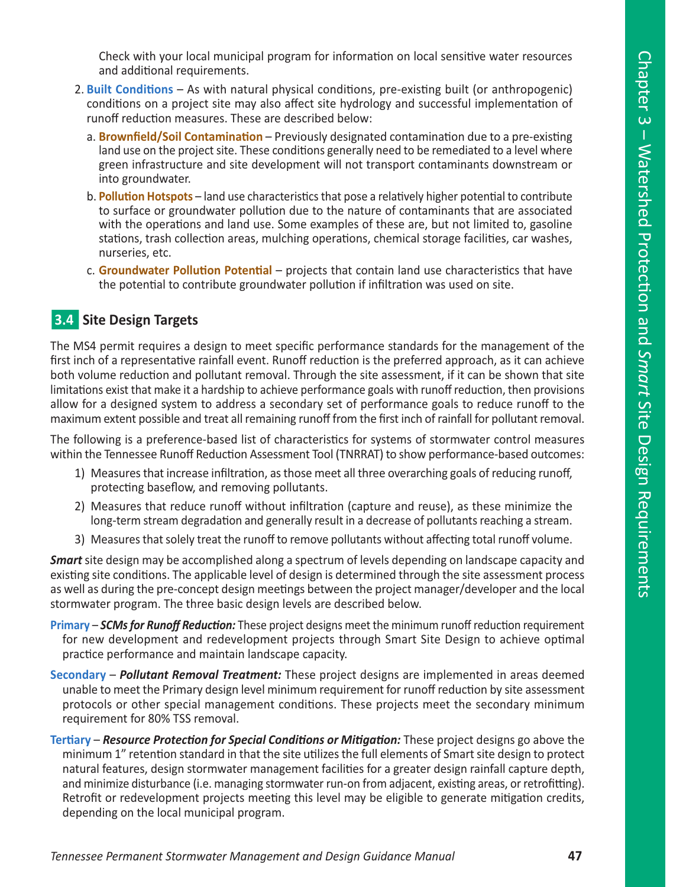Check with your local municipal program for information on local sensitive water resources and additional requirements.

- 2. **Built Conditions** As with natural physical conditions, pre-existing built (or anthropogenic) conditions on a project site may also affect site hydrology and successful implementation of runoff reduction measures. These are described below:
	- a. **Brownfield/Soil Contamination** Previously designated contamination due to a pre-existing land use on the project site. These conditions generally need to be remediated to a level where green infrastructure and site development will not transport contaminants downstream or into groundwater.
	- b. **Pollution Hotspots** land use characteristics that pose a relatively higher potential to contribute to surface or groundwater pollution due to the nature of contaminants that are associated with the operations and land use. Some examples of these are, but not limited to, gasoline stations, trash collection areas, mulching operations, chemical storage facilities, car washes, nurseries, etc.
	- c. **Groundwater Pollution Potential** projects that contain land use characteristics that have the potential to contribute groundwater pollution if infiltration was used on site.

# **3.4 Site Design Targets**

The MS4 permit requires a design to meet specific performance standards for the management of the first inch of a representative rainfall event. Runoff reduction is the preferred approach, as it can achieve both volume reduction and pollutant removal. Through the site assessment, if it can be shown that site limitations exist that make it a hardship to achieve performance goals with runoff reduction, then provisions allow for a designed system to address a secondary set of performance goals to reduce runoff to the maximum extent possible and treat all remaining runoff from the first inch of rainfall for pollutant removal.

The following is a preference-based list of characteristics for systems of stormwater control measures within the Tennessee Runoff Reduction Assessment Tool (TNRRAT) to show performance-based outcomes:

- 1) Measures that increase infiltration, as those meet all three overarching goals of reducing runoff, protecting baseflow, and removing pollutants.
- 2) Measures that reduce runoff without infiltration (capture and reuse), as these minimize the long-term stream degradation and generally result in a decrease of pollutants reaching a stream.
- 3) Measures that solely treat the runoff to remove pollutants without affecting total runoff volume.

*Smart* site design may be accomplished along a spectrum of levels depending on landscape capacity and existing site conditions. The applicable level of design is determined through the site assessment process as well as during the pre-concept design meetings between the project manager/developer and the local stormwater program. The three basic design levels are described below.

- **Primary** *SCMs for Runoff Reduction:* These project designs meet the minimum runoff reduction requirement for new development and redevelopment projects through Smart Site Design to achieve optimal practice performance and maintain landscape capacity.
- **Secondary** *Pollutant Removal Treatment:* These project designs are implemented in areas deemed unable to meet the Primary design level minimum requirement for runoff reduction by site assessment protocols or other special management conditions. These projects meet the secondary minimum requirement for 80% TSS removal.
- **Tertiary** *Resource Protection for Special Conditions or Mitigation:* These project designs go above the minimum 1" retention standard in that the site utilizes the full elements of Smart site design to protect natural features, design stormwater management facilities for a greater design rainfall capture depth, and minimize disturbance (i.e. managing stormwater run-on from adjacent, existing areas, or retrofitting). Retrofit or redevelopment projects meeting this level may be eligible to generate mitigation credits, depending on the local municipal program.